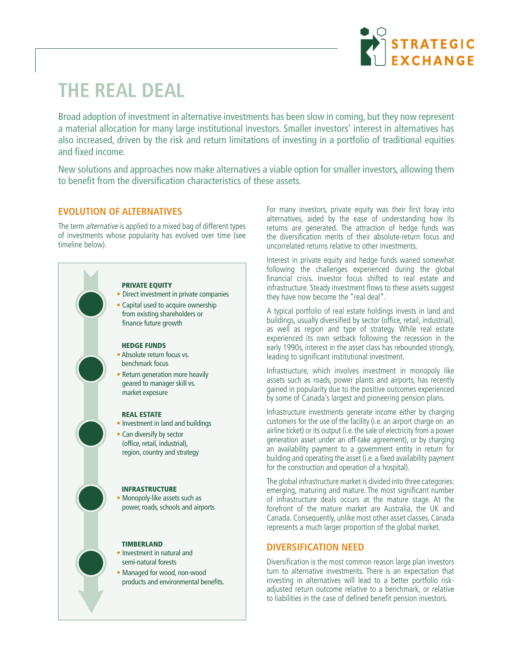

# **THE REAL DEAL**

Broad adoption of investment in alternative investments has been slow in coming, but they now represent a material allocation for many large institutional investors. Smaller investors' interest in alternatives has also increased, driven by the risk and return limitations of investing in a portfolio of traditional equities and fixed income.

New solutions and approaches now make alternatives a viable option for smaller investors, allowing them to benefit from the diversification characteristics of these assets.

# **EVOLUTION OF ALTERNATIVES**

The term alternative is applied to a mixed bag of different types of investments whose popularity has evolved over time (see timeline below).



- Direct investment in private companies
- Capital used to acquire ownership from existing shareholders or finance future growth

#### HEDGE FUNDS

- Absolute return focus vs. benchmark focus
- Return generation more heavily geared to manager skill vs. market exposure

#### REAL ESTATE

- Investment in land and buildings
- Can diversify by sector (office, retail, industrial), region, country and strategy

#### INFRASTRUCTURE

• Monopoly-like assets such as power, roads, schools and airports

#### **TIMBERLAND**

- Investment in natural and semi-natural forests
- Managed for wood, non-wood products and environmental benefits.

For many investors, private equity was their first foray into alternatives, aided by the ease of understanding how its returns are generated. The attraction of hedge funds was the diversification merits of their absolute-return focus and uncorrelated returns relative to other investments.

Interest in private equity and hedge funds waned somewhat following the challenges experienced during the global financial crisis. Investor focus shifted to real estate and infrastructure. Steady investment flows to these assets suggest they have now become the "real deal".

A typical portfolio of real estate holdings invests in land and buildings, usually diversified by sector (office, retail, industrial), as well as region and type of strategy. While real estate experienced its own setback following the recession in the early 1990s, interest in the asset class has rebounded strongly, leading to significant institutional investment.

Infrastructure, which involves investment in monopoly like assets such as roads, power plants and airports, has recently gained in popularity due to the positive outcomes experienced by some of Canada's largest and pioneering pension plans.

Infrastructure investments generate income either by charging customers for the use of the facility (i.e. an airport charge on an airline ticket) or its output (i.e. the sale of electricity from a power generation asset under an off-take agreement), or by charging an availability payment to a government entity in return for building and operating the asset (i.e. a fixed availability payment for the construction and operation of a hospital).

The global infrastructure market is divided into three categories: emerging, maturing and mature. The most significant number of infrastructure deals occurs at the mature stage. At the forefront of the mature market are Australia, the UK and Canada. Consequently, unlike most other asset classes, Canada represents a much larger proportion of the global market.

## **DIVERSIFICATION NEED**

Diversification is the most common reason large plan investors turn to alternative investments. There is an expectation that investing in alternatives will lead to a better portfolio riskadjusted return outcome relative to a benchmark, or relative to liabilities in the case of defined benefit pension investors.